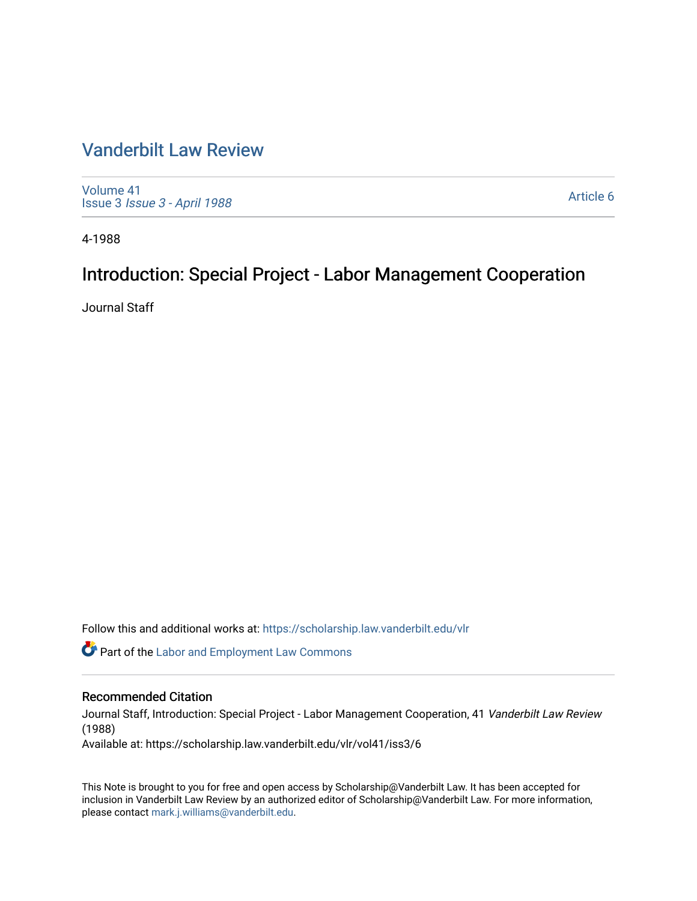### [Vanderbilt Law Review](https://scholarship.law.vanderbilt.edu/vlr)

[Volume 41](https://scholarship.law.vanderbilt.edu/vlr/vol41) Issue 3 [Issue 3 - April 1988](https://scholarship.law.vanderbilt.edu/vlr/vol41/iss3)

[Article 6](https://scholarship.law.vanderbilt.edu/vlr/vol41/iss3/6) 

4-1988

## Introduction: Special Project - Labor Management Cooperation

Journal Staff

Follow this and additional works at: [https://scholarship.law.vanderbilt.edu/vlr](https://scholarship.law.vanderbilt.edu/vlr?utm_source=scholarship.law.vanderbilt.edu%2Fvlr%2Fvol41%2Fiss3%2F6&utm_medium=PDF&utm_campaign=PDFCoverPages)

**C** Part of the [Labor and Employment Law Commons](http://network.bepress.com/hgg/discipline/909?utm_source=scholarship.law.vanderbilt.edu%2Fvlr%2Fvol41%2Fiss3%2F6&utm_medium=PDF&utm_campaign=PDFCoverPages)

#### Recommended Citation

Journal Staff, Introduction: Special Project - Labor Management Cooperation, 41 Vanderbilt Law Review (1988)

Available at: https://scholarship.law.vanderbilt.edu/vlr/vol41/iss3/6

This Note is brought to you for free and open access by Scholarship@Vanderbilt Law. It has been accepted for inclusion in Vanderbilt Law Review by an authorized editor of Scholarship@Vanderbilt Law. For more information, please contact [mark.j.williams@vanderbilt.edu.](mailto:mark.j.williams@vanderbilt.edu)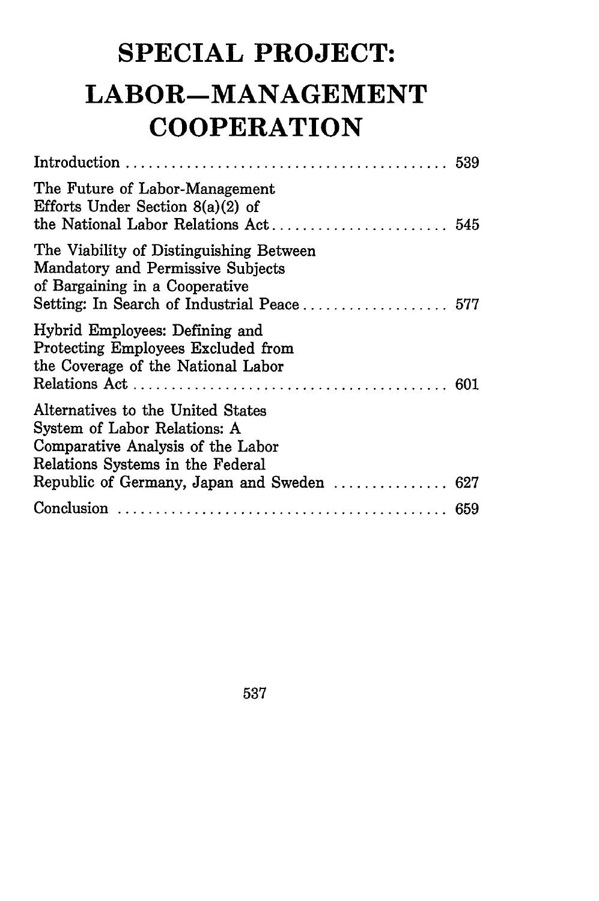# **SPECIAL PROJECT: LABOR-MANAGEMENT COOPERATION**

| The Future of Labor-Management<br>Efforts Under Section $8(a)(2)$ of                                                                       | 545 |
|--------------------------------------------------------------------------------------------------------------------------------------------|-----|
| The Viability of Distinguishing Between<br>Mandatory and Permissive Subjects<br>of Bargaining in a Cooperative                             |     |
| Hybrid Employees: Defining and<br>Protecting Employees Excluded from<br>the Coverage of the National Labor                                 | 601 |
| Alternatives to the United States<br>System of Labor Relations: A<br>Comparative Analysis of the Labor<br>Relations Systems in the Federal |     |
|                                                                                                                                            |     |
|                                                                                                                                            |     |

537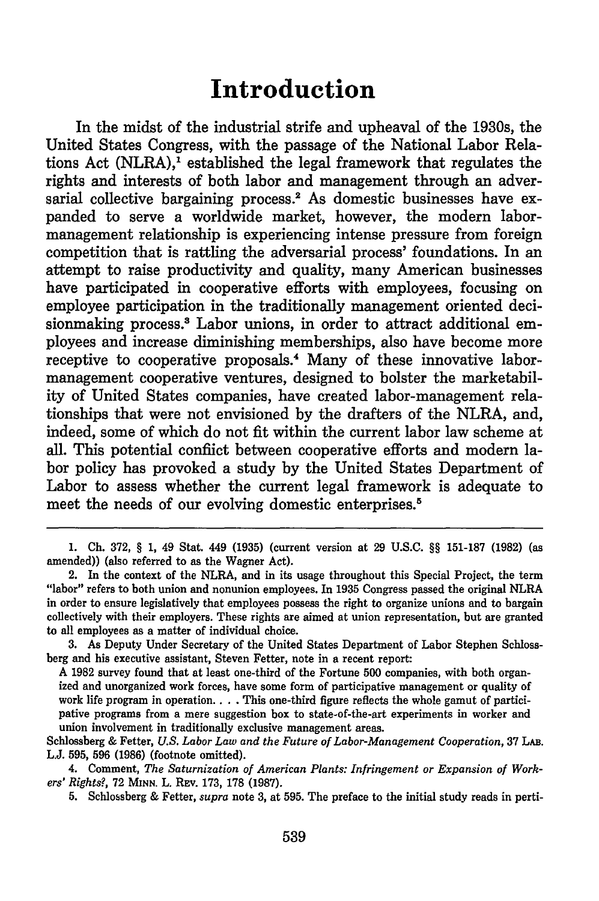## **Introduction**

In the midst of the industrial strife and upheaval of the 1930s, the United States Congress, with the passage of the National Labor Relations Act (NLRA), $^1$  established the legal framework that regulates the rights and interests of both labor and management through an adversarial collective bargaining process.<sup>2</sup> As domestic businesses have expanded to serve a worldwide market, however, the modern labormanagement relationship is experiencing intense pressure from foreign competition that is rattling the adversarial process' foundations. In an attempt to raise productivity and quality, many American businesses have participated in cooperative efforts with employees, focusing on employee participation in the traditionally management oriented decisionmaking process.<sup>3</sup> Labor unions, in order to attract additional employees and increase diminishing memberships, also have become more receptive to cooperative proposals.4 Many of these innovative labormanagement cooperative ventures, designed to bolster the marketability of United States companies, have created labor-management relationships that were not envisioned **by** the drafters of the NLRA, and, indeed, some of which do not fit within the current labor law scheme at all. This potential conflict between cooperative efforts and modern labor policy has provoked a study **by** the United States Department of Labor to assess whether the current legal framework is adequate to meet the needs of our evolving domestic enterprises.<sup>5</sup>

**A 1982** survey found that at least one-third of the Fortune **500** companies, with both organized and unorganized work forces, have some form of participative management or quality of work life program in operation. **. . .** This one-third figure reflects the whole gamut of participative programs from a mere suggestion box to state-of-the-art experiments in worker and union involvement in traditionally exclusive management areas.

**<sup>1.</sup> Ch. 372, § 1,** 49 Stat. 449 **(1935)** (current version at **29 U.S.C. §§ 151-187 (1982)** (as amended)) (also referred to as the Wagner Act).

<sup>2.</sup> In the context of the NLRA, and in its usage throughout this Special Project, the term "labor" refers to both union and nonunion employees. In **1935** Congress passed the original NLRA in order to ensure legislatively that employees possess the right to organize unions and to bargain collectively with their employers. These rights are aimed at union representation, but are granted to all employees as a matter of individual choice.

**<sup>3.</sup>** As Deputy Under Secretary of the United States Department of Labor Stephen Schlossberg and his executive assistant, Steven Fetter, note in a recent report:

Schlossberg **&** Fetter, *U.S. Labor Law and the Future of Labor-Management Cooperation,* **37** LAB. **L.J. 595, 596 (1986)** (footnote omitted).

<sup>4.</sup> Comment, *The Saturnization of American Plants: Infringement or Expansion of Workers' Rights?,* **72 MINN.** L. REv. **173, 178 (1987).**

**<sup>5.</sup>** Schlossberg **&** Fetter, *supra* note **3,** at **595.** The preface to the initial study reads in perti-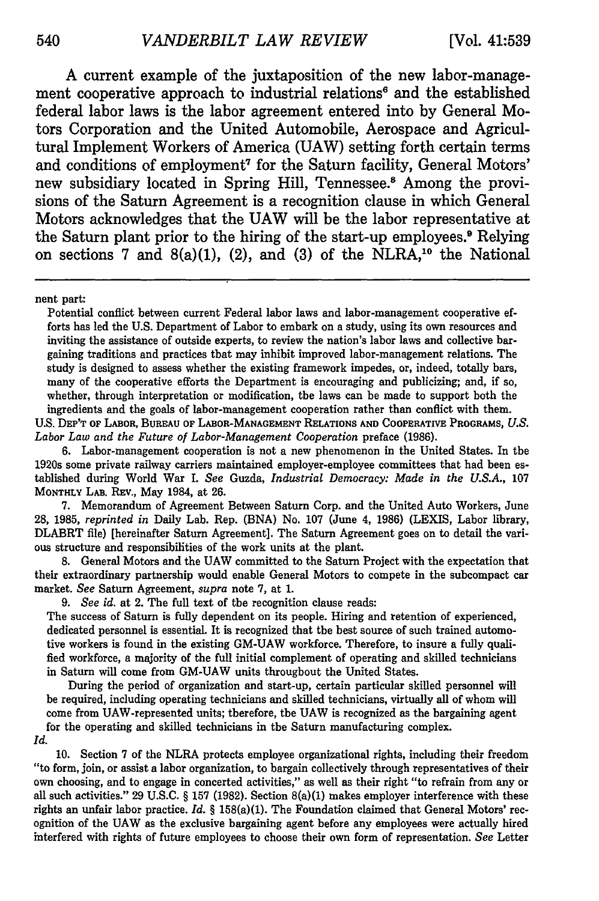**A** current example of the juxtaposition of the new labor-management cooperative approach to industrial relations<sup>6</sup> and the established federal labor laws is the labor agreement entered into **by** General Motors Corporation and the United Automobile, Aerospace and Agricultural Implement Workers of America **(UAW)** setting forth certain terms and conditions of employment7 for the Saturn facility, General Motors' new subsidiary located in Spring Hill, Tennessee.<sup>8</sup> Among the provisions of the Saturn Agreement is a recognition clause in which General Motors acknowledges that the **UAW** will be the labor representative at the Saturn plant prior to the hiring of the start-up employees.9 Relying on sections 7 and  $8(a)(1)$ ,  $(2)$ , and  $(3)$  of the NLRA,<sup>10</sup> the National

nent part:

Potential conflict between current Federal labor laws and labor-management cooperative efforts has led the **U.S.** Department of Labor to embark on a study, using its own resources and inviting the assistance of outside experts, to review the nation's labor laws and collective bargaining traditions and practices that may inhibit improved labor-management relations. The study is designed to assess whether the existing framework impedes, or, indeed, totally bars, many of the cooperative efforts the Department is encouraging and publicizing; and, if so, whether, through interpretation or modification, the laws can be made to support both the ingredients and the goals of labor-management cooperation rather than conflict with them.

**U.S.** DEP'T OF LABOR, BUREAU **OF LABOR-MANAGEMENT RELATIONS AND** COOPERATIVE PROGRAMS, *U.S. Labor Law and the Future of Labor-Management Cooperation* preface (1986).

6. Labor-management cooperation is not a new phenomenon in the United States. In the 1920s some private railway carriers maintained employer-employee committees that had been established during World War I. *See* Guzda, *Industrial Democracy: Made in the U.S.A.,* 107 MONTHLY LAB. REV., May 1984, at 26.

7. Memorandum of Agreement Between Saturn Corp. and the United Auto Workers, June 28, 1985, *reprinted in* Daily Lab. Rep. **(BNA)** No. 107 (June 4, 1986) (LEXIS, Labor library, DLABRT file) [hereinafter Saturn Agreement]. The Saturn Agreement goes on to detail the various structure and responsibilities of the work units at the plant.

8. General Motors and the UAW committed to the Saturn Project with the expectation that their extraordinary partnership would enable General Motors to compete in the subcompact car market. *See* Saturn Agreement, *supra* note 7, at 1.

*9. See id.* at 2. The full text of the recognition clause reads:

The success of Saturn is fully dependent on its people. Hiring and retention of experienced, dedicated personnel is essential. It is recognized that the best source of such trained automotive workers is found in the existing GM-UAW workforce. Therefore, to insure a fully qualified workforce, a majority of the full initial complement of operating and skilled technicians in Saturn will come from GM-UAW units throughout the United States.

During the period of organization and start-up, certain particular skilled personnel will be required, including operating technicians and skilled technicians, virtually all of whom will come from UAW-represented units; therefore, the UAW is recognized as the bargaining agent for the operating and skilled technicians in the Saturn manufacturing complex. *Id.*

10. Section 7 of the NLRA protects employee organizational rights, including their freedom "to form, join, or assist a labor organization, to bargain collectively through representatives of their own choosing, and to engage in concerted activities," as well as their right "to refrain from any or all such activities." 29 U.S.C. § 157 **(1982).** Section 8(a)(1) makes employer interference with these rights an unfair labor practice. *Id.* § 158(a)(1). The Foundation claimed that General Motors' recognition of the UAW as the exclusive bargaining agent before any employees were actually hired interfered with rights of future employees to choose their own form of representation. *See* Letter

540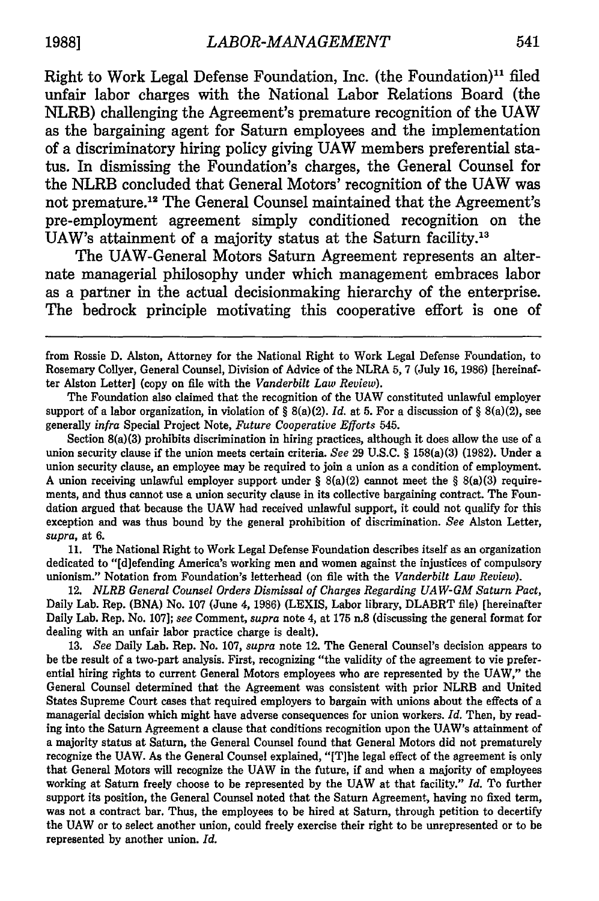Right to Work Legal Defense Foundation, Inc. (the Foundation)" filed unfair labor charges with the National Labor Relations Board (the NLRB) challenging the Agreement's premature recognition of the **UAW** as the bargaining agent for Saturn employees and the implementation of a discriminatory hiring policy giving **UAW** members preferential status. In dismissing the Foundation's charges, the General Counsel for the NLRB concluded that General Motors' recognition of the **UAW** was not premature.<sup>12</sup> The General Counsel maintained that the Agreement's pre-employment agreement simply conditioned recognition on the UAW's attainment of a majority status at the Saturn facility.<sup>13</sup>

The UAW-General Motors Saturn Agreement represents an alternate managerial philosophy under which management embraces labor as a partner in the actual decisionmaking hierarchy of the enterprise. The bedrock principle motivating this cooperative effort is one of

Section 8(a)(3) prohibits discrimination in hiring practices, although it does allow the use of a union security clause if the union meets certain criteria. *See* 29 U.S.C. § 158(a)(3) (1982). Under a union security clause, an employee may be required to join a union as a condition of employment. A union receiving unlawful employer support under  $\S 8(a)(2)$  cannot meet the  $\S 8(a)(3)$  requirements, and thus cannot use a union security clause in its collective bargaining contract. The Foundation argued that because the UAW had received unlawful support, it could not qualify for this exception and was thus bound by the general prohibition of discrimination. *See* Alston Letter, *supra,* at 6.

11. The National Right to Work Legal Defense Foundation describes itself as an organization dedicated to "[d]efending America's working men and women against the injustices of compulsory unionism." Notation from Foundation's letterhead (on file with the *Vanderbilt Law Review).*

12. *NLRB General Counsel Orders Dismissal of Charges Regarding UAW-GM Saturn Pact,* Daily Lab. Rep. (BNA) No. 107 (June 4, 1986) (LEXIS, Labor library, DLABRT file) [hereinafter Daily Lab. Rep. No. 107]; *see* Comment, *supra* note 4, at 175 n.8 (discussing the general format for dealing with an unfair labor practice charge is dealt).

**13.** *See* Daily Lab. Rep. No. 107, *supra* note 12. The General Counsel's decision appears to be the result of a two-part analysis. First, recognizing "the validity of the agreement to vie preferential hiring rights to current General Motors employees who are represented by the UAW," the General Counsel determined that the Agreement was consistent with prior NLRB and United States Supreme Court cases that required employers to bargain with unions about the effects of a managerial decision which might have adverse consequences for union workers. *Id.* Then, by reading into the Saturn Agreement a clause that conditions recognition upon the UAW's attainment of a majority status at Saturn, the General Counsel found that General Motors did not prematurely recognize the UAW. As the General Counsel explained, "[T]he legal effect of the agreement is only that General Motors will recognize the UAW in the future, if and when a majority of employees working at Saturn freely choose to be represented by the UAW at that facility." *Id.* To further support its position, the General Counsel noted that the Saturn Agreement, having no fixed term, was not a contract bar. Thus, the employees to be hired at Saturn, through petition to decertify the UAW or to select another union, could freely exercise their right to be unrepresented or to be represented by another union. *Id.*

from Rossie D. Alston, Attorney for the National Right to Work Legal Defense Foundation, to Rosemary Collyer, General Counsel, Division of Advice of the NLRA 5, 7 (July 16, 1986) [hereinafter Alston Letter] (copy on file with the *Vanderbilt Law Review).*

The Foundation also claimed that the recognition of the UAW constituted unlawful employer support of a labor organization, in violation of § 8(a)(2). *Id.* at 5. For a discussion of § 8(a)(2), see generally *infra* Special Project Note, *Future Cooperative Efforts* 545.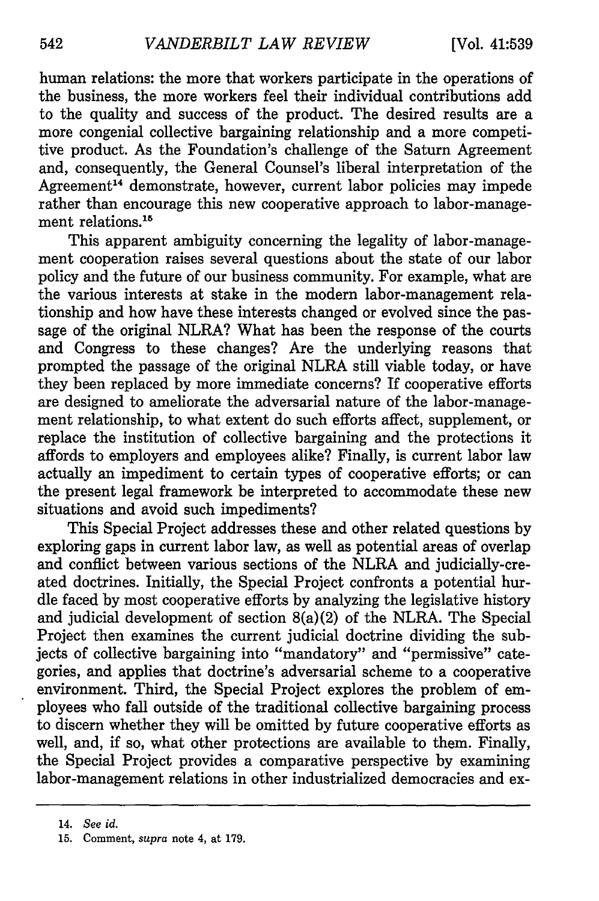human relations: the more that workers participate in the operations of the business, the more workers feel their individual contributions add to the quality and success of the product. The desired results are a more congenial collective bargaining relationship and a more competitive product. As the Foundation's challenge of the Saturn Agreement and, consequently, the General Counsel's liberal interpretation of the Agreement<sup>14</sup> demonstrate, however, current labor policies may impede rather than encourage this new cooperative approach to labor-management relations.<sup>15</sup>

This apparent ambiguity concerning the legality of labor-management cooperation raises several questions about the state of our labor policy and the future of our business community. For example, what are the various interests at stake in the modern labor-management relationship and how have these interests changed or evolved since the passage of the original NLRA? What has been the response of the courts and Congress to these changes? Are the underlying reasons that prompted the passage of the original NLRA still viable today, or have they been replaced by more immediate concerns? If cooperative efforts are designed to ameliorate the adversarial nature of the labor-management relationship, to what extent do such efforts affect, supplement, or replace the institution of collective bargaining and the protections it affords to employers and employees alike? Finally, is current labor law actually an impediment to certain types of cooperative efforts; or can the present legal framework be interpreted to accommodate these new situations and avoid such impediments?

This Special Project addresses these and other related questions by exploring gaps in current labor law, as well as potential areas of overlap and conflict between various sections of the NLRA and judicially-created doctrines. Initially, the Special Project confronts a potential hurdle faced by most cooperative efforts by analyzing the legislative history and judicial development of section 8(a)(2) of the NLRA. The Special Project then examines the current judicial doctrine dividing the subjects of collective bargaining into "mandatory" and "permissive" categories, and applies that doctrine's adversarial scheme to a cooperative environment. Third, the Special Project explores the problem of employees who fall outside of the traditional collective bargaining process to discern whether they will be omitted by future cooperative efforts as well, and, if so, what other protections are available to them. Finally, the Special Project provides a comparative perspective by examining labor-management relations in other industrialized democracies and ex-

<sup>14.</sup> *See id.*

<sup>15.</sup> Comment, *supra* note 4, at 179.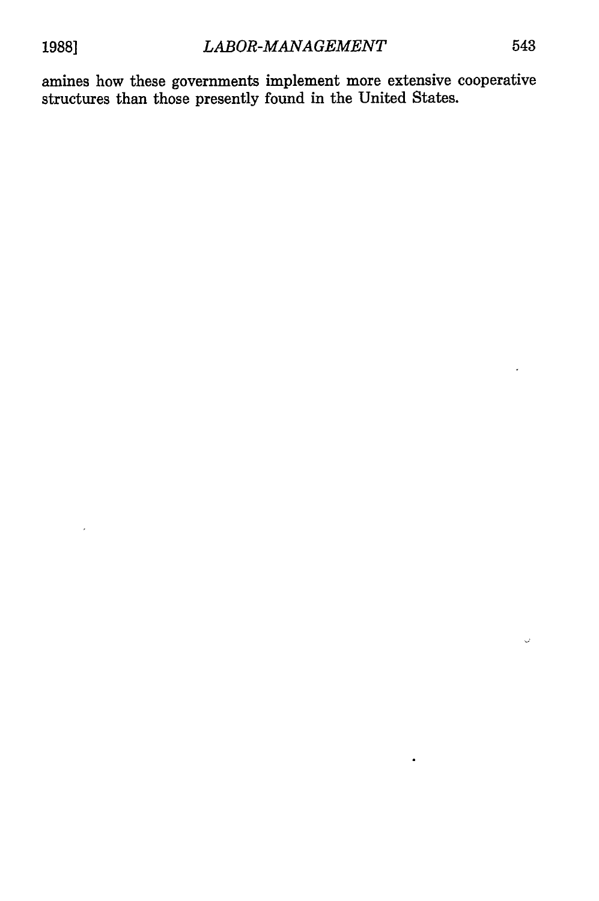amines how these governments implement more extensive cooperative structures than those presently found in the United States.

 $\bar{\mathcal{Q}}$ 

 $\bullet$